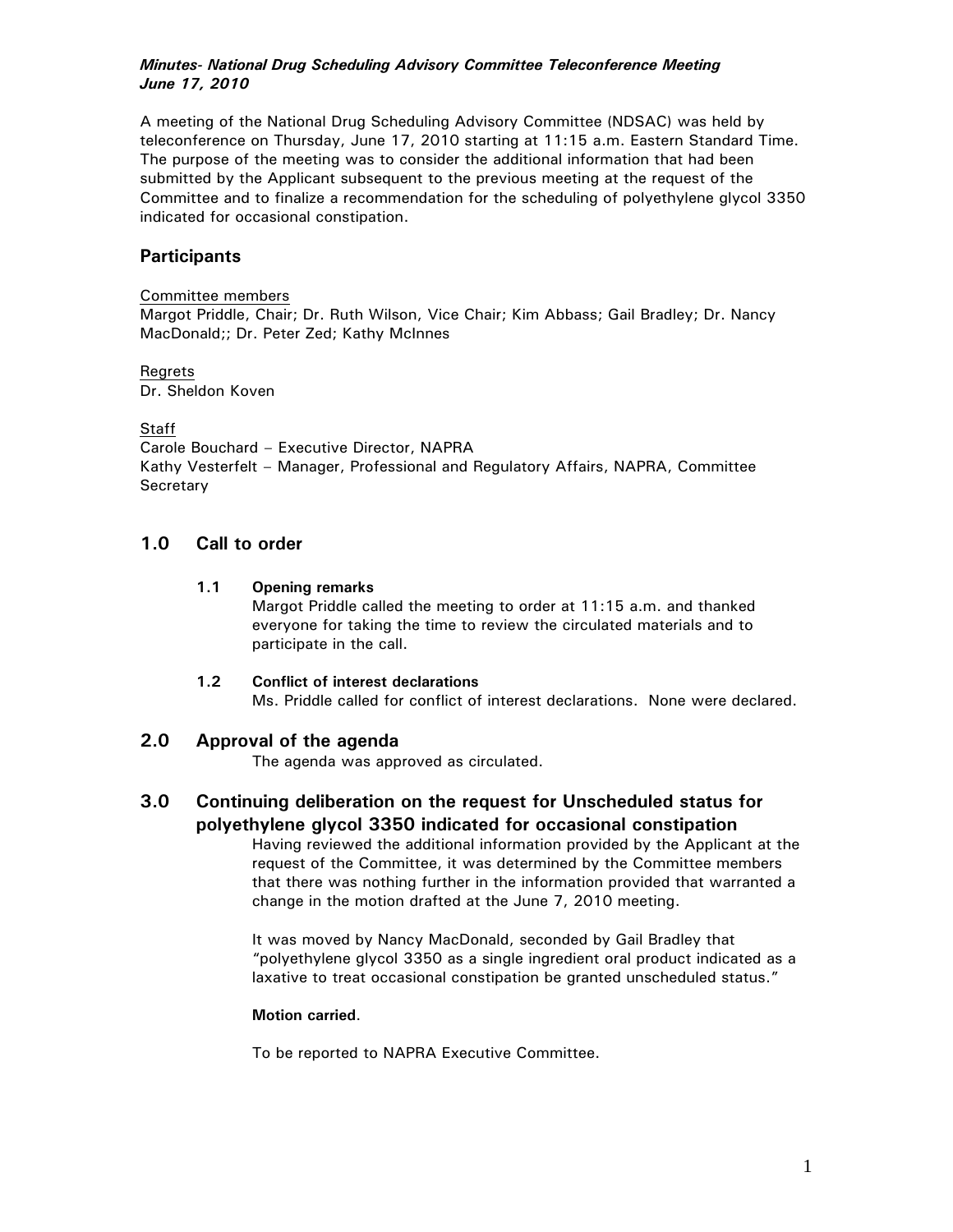### *Minutes- National Drug Scheduling Advisory Committee Teleconference Meeting June 17, 2010*

A meeting of the National Drug Scheduling Advisory Committee (NDSAC) was held by teleconference on Thursday, June 17, 2010 starting at 11:15 a.m. Eastern Standard Time. The purpose of the meeting was to consider the additional information that had been submitted by the Applicant subsequent to the previous meeting at the request of the Committee and to finalize a recommendation for the scheduling of polyethylene glycol 3350 indicated for occasional constipation.

## **Participants**

#### Committee members

Margot Priddle, Chair; Dr. Ruth Wilson, Vice Chair; Kim Abbass; Gail Bradley; Dr. Nancy MacDonald;; Dr. Peter Zed; Kathy McInnes

#### Regrets Dr. Sheldon Koven

#### **Staff**

Carole Bouchard – Executive Director, NAPRA Kathy Vesterfelt – Manager, Professional and Regulatory Affairs, NAPRA, Committee **Secretary** 

### **1.0 Call to order**

### **1.1 Opening remarks**

Margot Priddle called the meeting to order at 11:15 a.m. and thanked everyone for taking the time to review the circulated materials and to participate in the call.

#### **1.2 Conflict of interest declarations**

Ms. Priddle called for conflict of interest declarations. None were declared.

### **2.0 Approval of the agenda**

The agenda was approved as circulated.

# **3.0 Continuing deliberation on the request for Unscheduled status for polyethylene glycol 3350 indicated for occasional constipation**

Having reviewed the additional information provided by the Applicant at the request of the Committee, it was determined by the Committee members that there was nothing further in the information provided that warranted a change in the motion drafted at the June 7, 2010 meeting.

It was moved by Nancy MacDonald, seconded by Gail Bradley that "polyethylene glycol 3350 as a single ingredient oral product indicated as a laxative to treat occasional constipation be granted unscheduled status."

#### **Motion carried**.

To be reported to NAPRA Executive Committee.